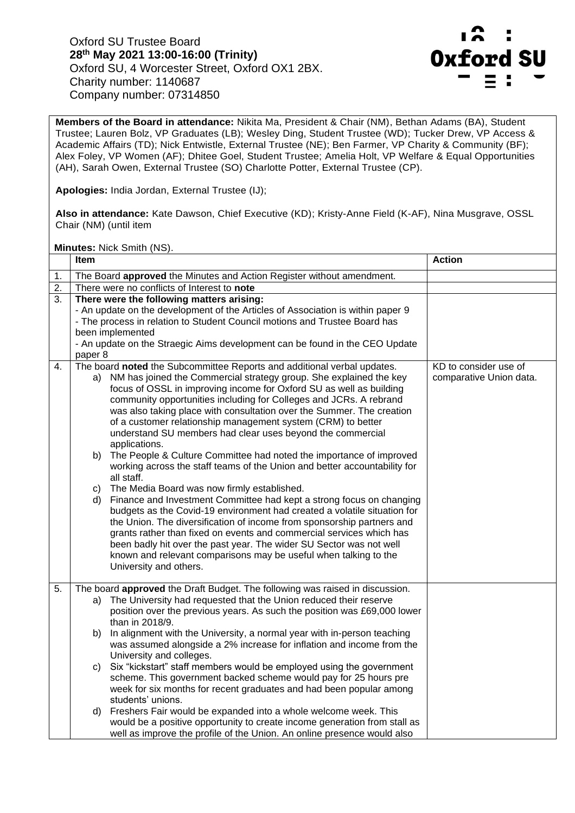Oxford SU Trustee Board **28th May 2021 13:00-16:00 (Trinity)**  Oxford SU, 4 Worcester Street, Oxford OX1 2BX. Charity number: 1140687 Company number: 07314850



**Members of the Board in attendance:** Nikita Ma, President & Chair (NM), Bethan Adams (BA), Student Trustee; Lauren Bolz, VP Graduates (LB); Wesley Ding, Student Trustee (WD); Tucker Drew, VP Access & Academic Affairs (TD); Nick Entwistle, External Trustee (NE); Ben Farmer, VP Charity & Community (BF); Alex Foley, VP Women (AF); Dhitee Goel, Student Trustee; Amelia Holt, VP Welfare & Equal Opportunities (AH), Sarah Owen, External Trustee (SO) Charlotte Potter, External Trustee (CP).

**Apologies:** India Jordan, External Trustee (IJ);

**Also in attendance:** Kate Dawson, Chief Executive (KD); Kristy-Anne Field (K-AF), Nina Musgrave, OSSL Chair (NM) (until item

**Minutes:** Nick Smith (NS).

|    | <b>Item</b>                                                                                                                                                                                                                                                                                                                                                                                                                                                                                                                                                                                                                                                                                                                                                                                                                                                                                                                                                                                                                                                                                                                                                                                                                            | <b>Action</b>                                    |
|----|----------------------------------------------------------------------------------------------------------------------------------------------------------------------------------------------------------------------------------------------------------------------------------------------------------------------------------------------------------------------------------------------------------------------------------------------------------------------------------------------------------------------------------------------------------------------------------------------------------------------------------------------------------------------------------------------------------------------------------------------------------------------------------------------------------------------------------------------------------------------------------------------------------------------------------------------------------------------------------------------------------------------------------------------------------------------------------------------------------------------------------------------------------------------------------------------------------------------------------------|--------------------------------------------------|
| 1. | The Board approved the Minutes and Action Register without amendment.                                                                                                                                                                                                                                                                                                                                                                                                                                                                                                                                                                                                                                                                                                                                                                                                                                                                                                                                                                                                                                                                                                                                                                  |                                                  |
| 2. | There were no conflicts of Interest to note                                                                                                                                                                                                                                                                                                                                                                                                                                                                                                                                                                                                                                                                                                                                                                                                                                                                                                                                                                                                                                                                                                                                                                                            |                                                  |
| 3. | There were the following matters arising:<br>- An update on the development of the Articles of Association is within paper 9<br>- The process in relation to Student Council motions and Trustee Board has<br>been implemented<br>- An update on the Straegic Aims development can be found in the CEO Update<br>paper 8                                                                                                                                                                                                                                                                                                                                                                                                                                                                                                                                                                                                                                                                                                                                                                                                                                                                                                               |                                                  |
| 4. | The board noted the Subcommittee Reports and additional verbal updates.<br>NM has joined the Commercial strategy group. She explained the key<br>a)<br>focus of OSSL in improving income for Oxford SU as well as building<br>community opportunities including for Colleges and JCRs. A rebrand<br>was also taking place with consultation over the Summer. The creation<br>of a customer relationship management system (CRM) to better<br>understand SU members had clear uses beyond the commercial<br>applications.<br>The People & Culture Committee had noted the importance of improved<br>b)<br>working across the staff teams of the Union and better accountability for<br>all staff.<br>The Media Board was now firmly established.<br>C)<br>Finance and Investment Committee had kept a strong focus on changing<br>d)<br>budgets as the Covid-19 environment had created a volatile situation for<br>the Union. The diversification of income from sponsorship partners and<br>grants rather than fixed on events and commercial services which has<br>been badly hit over the past year. The wider SU Sector was not well<br>known and relevant comparisons may be useful when talking to the<br>University and others. | KD to consider use of<br>comparative Union data. |
| 5. | The board approved the Draft Budget. The following was raised in discussion.<br>The University had requested that the Union reduced their reserve<br>a)<br>position over the previous years. As such the position was £69,000 lower<br>than in 2018/9.<br>In alignment with the University, a normal year with in-person teaching<br>b)<br>was assumed alongside a 2% increase for inflation and income from the<br>University and colleges.<br>Six "kickstart" staff members would be employed using the government<br>C)<br>scheme. This government backed scheme would pay for 25 hours pre<br>week for six months for recent graduates and had been popular among<br>students' unions.<br>Freshers Fair would be expanded into a whole welcome week. This<br>d)<br>would be a positive opportunity to create income generation from stall as<br>well as improve the profile of the Union. An online presence would also                                                                                                                                                                                                                                                                                                            |                                                  |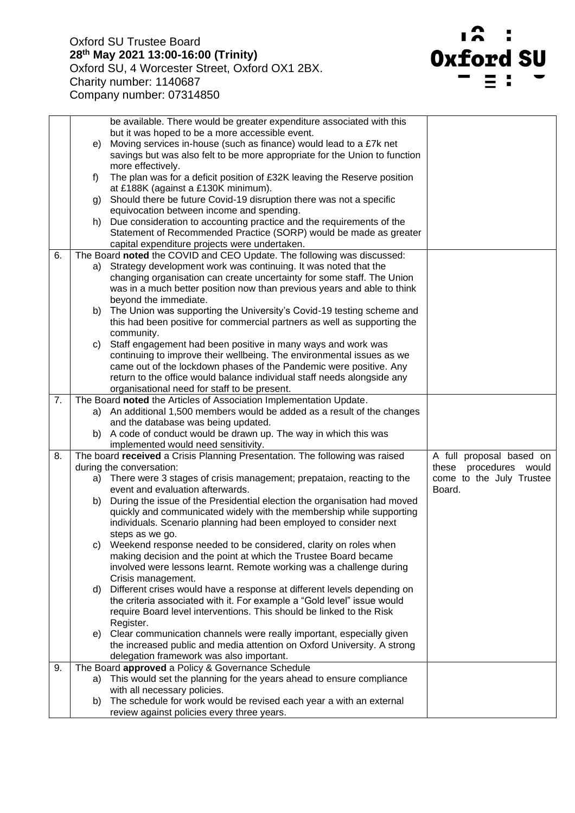

|    |    | be available. There would be greater expenditure associated with this                                                   |                                    |
|----|----|-------------------------------------------------------------------------------------------------------------------------|------------------------------------|
|    |    | but it was hoped to be a more accessible event.                                                                         |                                    |
|    | e) | Moving services in-house (such as finance) would lead to a £7k net                                                      |                                    |
|    |    | savings but was also felt to be more appropriate for the Union to function                                              |                                    |
|    |    | more effectively.                                                                                                       |                                    |
|    | f) | The plan was for a deficit position of £32K leaving the Reserve position                                                |                                    |
|    |    | at £188K (against a £130K minimum).                                                                                     |                                    |
|    |    | g) Should there be future Covid-19 disruption there was not a specific                                                  |                                    |
|    |    | equivocation between income and spending.                                                                               |                                    |
|    |    | h) Due consideration to accounting practice and the requirements of the                                                 |                                    |
|    |    | Statement of Recommended Practice (SORP) would be made as greater                                                       |                                    |
| 6. |    | capital expenditure projects were undertaken.<br>The Board noted the COVID and CEO Update. The following was discussed: |                                    |
|    |    | a) Strategy development work was continuing. It was noted that the                                                      |                                    |
|    |    | changing organisation can create uncertainty for some staff. The Union                                                  |                                    |
|    |    | was in a much better position now than previous years and able to think                                                 |                                    |
|    |    | beyond the immediate.                                                                                                   |                                    |
|    |    | b) The Union was supporting the University's Covid-19 testing scheme and                                                |                                    |
|    |    | this had been positive for commercial partners as well as supporting the                                                |                                    |
|    |    | community.                                                                                                              |                                    |
|    | C) | Staff engagement had been positive in many ways and work was                                                            |                                    |
|    |    | continuing to improve their wellbeing. The environmental issues as we                                                   |                                    |
|    |    | came out of the lockdown phases of the Pandemic were positive. Any                                                      |                                    |
|    |    | return to the office would balance individual staff needs alongside any                                                 |                                    |
|    |    | organisational need for staff to be present.                                                                            |                                    |
| 7. |    | The Board noted the Articles of Association Implementation Update.                                                      |                                    |
|    |    | a) An additional 1,500 members would be added as a result of the changes                                                |                                    |
|    |    | and the database was being updated.                                                                                     |                                    |
|    |    | b) A code of conduct would be drawn up. The way in which this was                                                       |                                    |
|    |    | implemented would need sensitivity.                                                                                     |                                    |
| 8. |    | The board received a Crisis Planning Presentation. The following was raised                                             | A full proposal based on           |
|    |    | during the conversation:                                                                                                | these procedures would             |
|    |    | a) There were 3 stages of crisis management; prepataion, reacting to the<br>event and evaluation afterwards.            | come to the July Trustee<br>Board. |
|    |    | b) During the issue of the Presidential election the organisation had moved                                             |                                    |
|    |    | quickly and communicated widely with the membership while supporting                                                    |                                    |
|    |    | individuals. Scenario planning had been employed to consider next                                                       |                                    |
|    |    | steps as we go.                                                                                                         |                                    |
|    |    | c) Weekend response needed to be considered, clarity on roles when                                                      |                                    |
|    |    | making decision and the point at which the Trustee Board became                                                         |                                    |
|    |    | involved were lessons learnt. Remote working was a challenge during                                                     |                                    |
|    |    | Crisis management.                                                                                                      |                                    |
|    |    | d) Different crises would have a response at different levels depending on                                              |                                    |
|    |    | the criteria associated with it. For example a "Gold level" issue would                                                 |                                    |
|    |    | require Board level interventions. This should be linked to the Risk                                                    |                                    |
|    |    | Register.                                                                                                               |                                    |
|    |    | e) Clear communication channels were really important, especially given                                                 |                                    |
|    |    | the increased public and media attention on Oxford University. A strong                                                 |                                    |
|    |    | delegation framework was also important.                                                                                |                                    |
| 9. |    | The Board approved a Policy & Governance Schedule                                                                       |                                    |
|    |    | a) This would set the planning for the years ahead to ensure compliance                                                 |                                    |
|    |    | with all necessary policies.                                                                                            |                                    |
|    |    | b) The schedule for work would be revised each year a with an external                                                  |                                    |
|    |    | review against policies every three years.                                                                              |                                    |